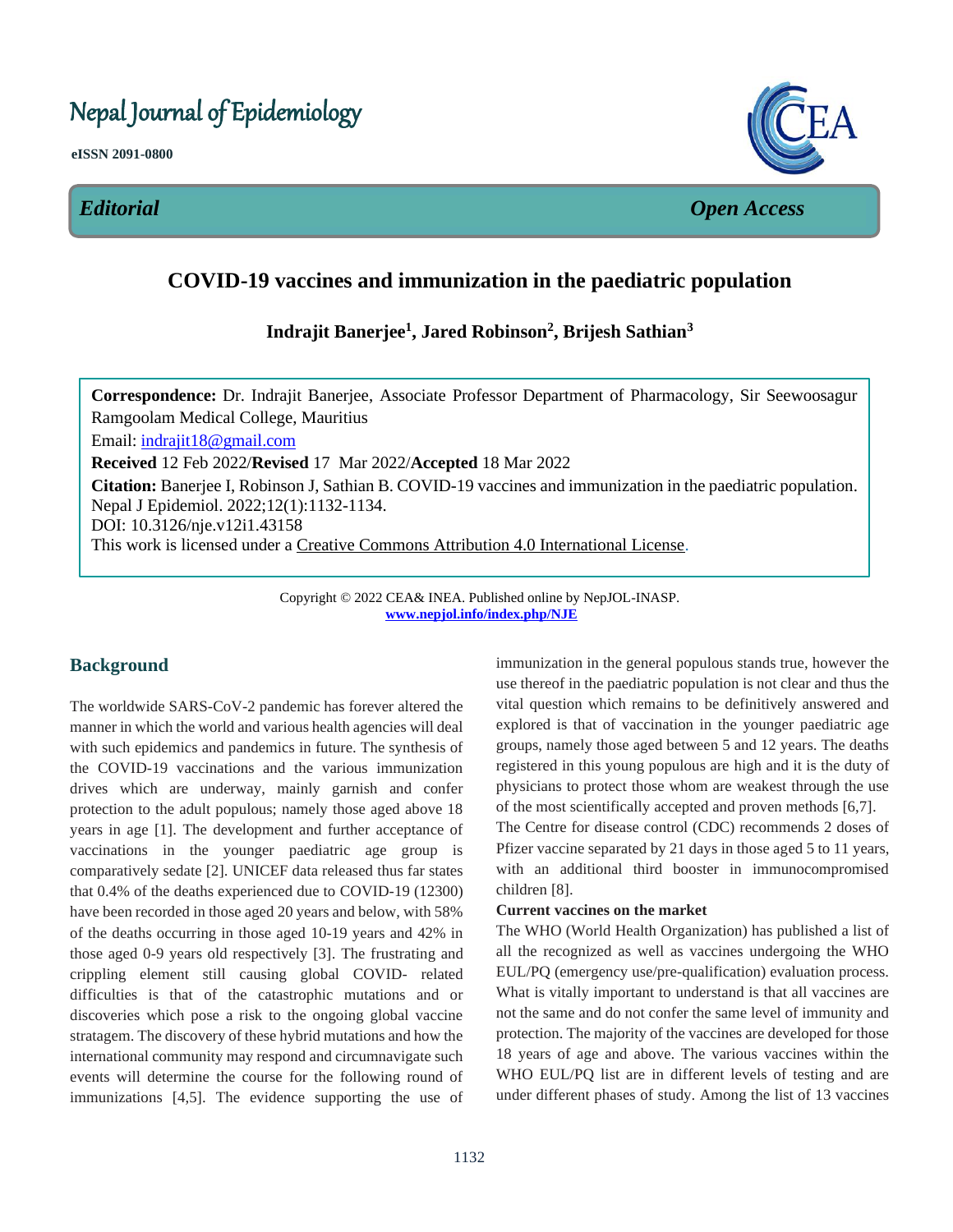# Nepal Journal of Epidemiology

**eISSN 2091-0800**



*Editorial Open Access*

## **COVID-19 vaccines and immunization in the paediatric population**  $\overline{\phantom{a}}$

# **Indrajit Banerjee<sup>1</sup> , Jared Robinson<sup>2</sup> , Brijesh Sathian<sup>3</sup>**

l,

**Correspondence:** Dr. Indrajit Banerjee, Associate Professor Department of Pharmacology, Sir Seewoosagur Ramgoolam Medical College, Mauritius Email: [indrajit18@gmail.com](mailto:indrajit18@gmail.com) **Received** 12 Feb 2022/**Revised** 17 Mar 2022/**Accepted** 18 Mar 2022 **Citation:** Banerjee I, Robinson J, Sathian B. COVID-19 vaccines and immunization in the paediatric population. Nepal J Epidemiol. 2022;12(1):1132-1134. DOI: 10.3126/nje.v12i1.43158 This work is licensed under a [Creative Commons Attribution 4.0 International License.](http://creativecommons.org/licenses/by/4.0/)

> Copyright © 2022 CEA& INEA. Published online by NepJOL-INASP. **[www.nepjol.info/index.php/NJE](http://www.nepjol.info/index.php/NJE)**

# **Background**

The worldwide SARS-CoV-2 pandemic has forever altered the manner in which the world and various health agencies will deal with such epidemics and pandemics in future. The synthesis of the COVID-19 vaccinations and the various immunization drives which are underway, mainly garnish and confer protection to the adult populous; namely those aged above 18 years in age [1]. The development and further acceptance of vaccinations in the younger paediatric age group is comparatively sedate [2]. UNICEF data released thus far states that 0.4% of the deaths experienced due to COVID-19 (12300) have been recorded in those aged 20 years and below, with 58% of the deaths occurring in those aged 10-19 years and 42% in those aged 0-9 years old respectively [3]. The frustrating and crippling element still causing global COVID- related difficulties is that of the catastrophic mutations and or discoveries which pose a risk to the ongoing global vaccine stratagem. The discovery of these hybrid mutations and how the international community may respond and circumnavigate such events will determine the course for the following round of immunizations [4,5]. The evidence supporting the use of immunization in the general populous stands true, however the use thereof in the paediatric population is not clear and thus the vital question which remains to be definitively answered and explored is that of vaccination in the younger paediatric age groups, namely those aged between 5 and 12 years. The deaths registered in this young populous are high and it is the duty of physicians to protect those whom are weakest through the use of the most scientifically accepted and proven methods [6,7].

The Centre for disease control (CDC) recommends 2 doses of Pfizer vaccine separated by 21 days in those aged 5 to 11 years, with an additional third booster in immunocompromised children [8].

#### **Current vaccines on the market**

The WHO (World Health Organization) has published a list of all the recognized as well as vaccines undergoing the WHO EUL/PQ (emergency use/pre-qualification) evaluation process. What is vitally important to understand is that all vaccines are not the same and do not confer the same level of immunity and protection. The majority of the vaccines are developed for those 18 years of age and above. The various vaccines within the WHO EUL/PQ list are in different levels of testing and are under different phases of study. Among the list of 13 vaccines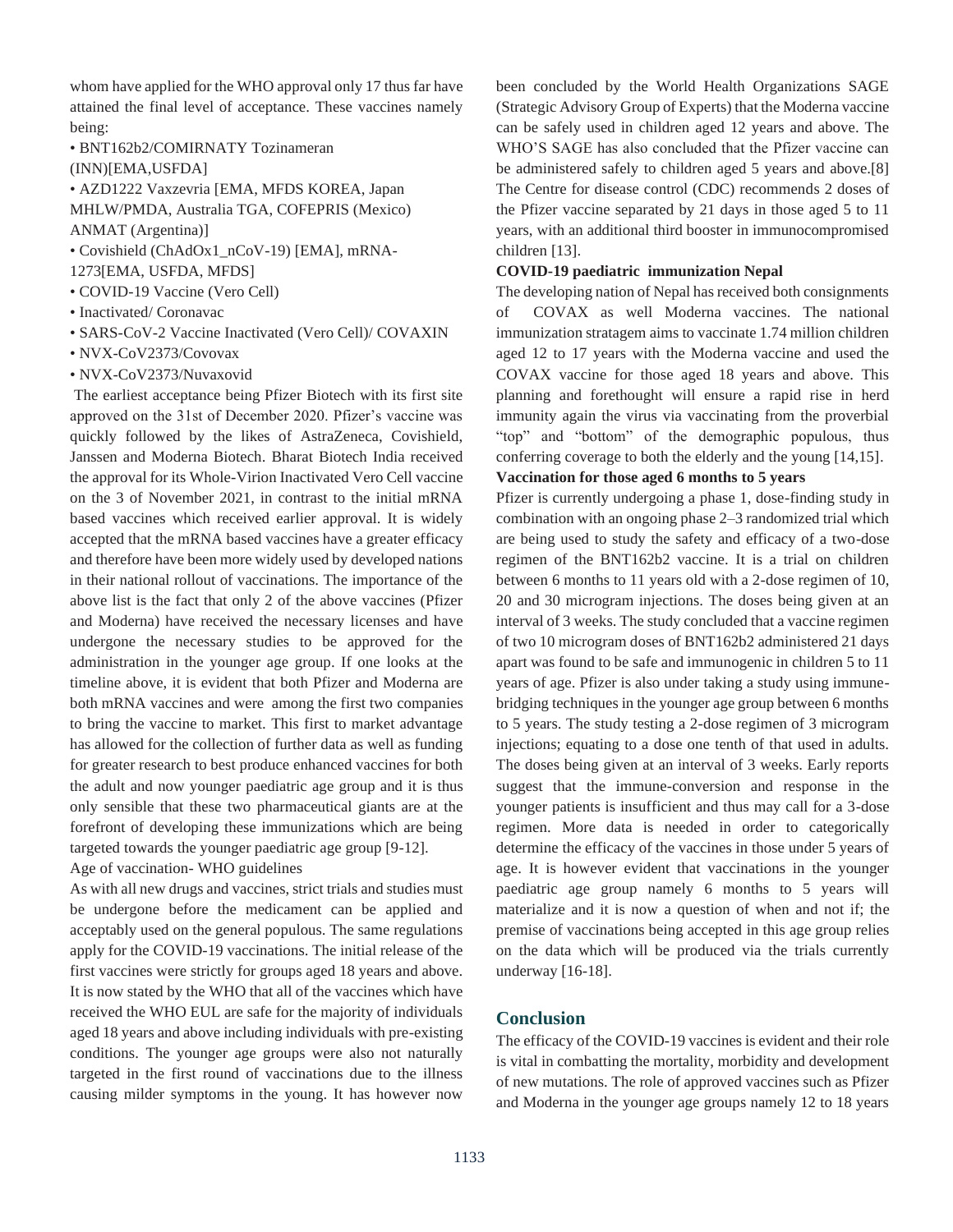whom have applied for the WHO approval only 17 thus far have attained the final level of acceptance. These vaccines namely being:

• BNT162b2/COMIRNATY Tozinameran (INN)[EMA,USFDA]

• AZD1222 Vaxzevria [EMA, MFDS KOREA, Japan MHLW/PMDA, Australia TGA, COFEPRIS (Mexico) ANMAT (Argentina)]

• Covishield (ChAdOx1\_nCoV-19) [EMA], mRNA-1273[EMA, USFDA, MFDS]

- COVID-19 Vaccine (Vero Cell)
- Inactivated/ Coronavac
- SARS-CoV-2 Vaccine Inactivated (Vero Cell)/ COVAXIN
- NVX-CoV2373/Covovax
- NVX-CoV2373/Nuvaxovid

The earliest acceptance being Pfizer Biotech with its first site approved on the 31st of December 2020. Pfizer's vaccine was quickly followed by the likes of AstraZeneca, Covishield, Janssen and Moderna Biotech. Bharat Biotech India received the approval for its Whole-Virion Inactivated Vero Cell vaccine on the 3 of November 2021, in contrast to the initial mRNA based vaccines which received earlier approval. It is widely accepted that the mRNA based vaccines have a greater efficacy and therefore have been more widely used by developed nations in their national rollout of vaccinations. The importance of the above list is the fact that only 2 of the above vaccines (Pfizer and Moderna) have received the necessary licenses and have undergone the necessary studies to be approved for the administration in the younger age group. If one looks at the timeline above, it is evident that both Pfizer and Moderna are both mRNA vaccines and were among the first two companies to bring the vaccine to market. This first to market advantage has allowed for the collection of further data as well as funding for greater research to best produce enhanced vaccines for both the adult and now younger paediatric age group and it is thus only sensible that these two pharmaceutical giants are at the forefront of developing these immunizations which are being targeted towards the younger paediatric age group [9-12].

Age of vaccination- WHO guidelines

As with all new drugs and vaccines, strict trials and studies must be undergone before the medicament can be applied and acceptably used on the general populous. The same regulations apply for the COVID-19 vaccinations. The initial release of the first vaccines were strictly for groups aged 18 years and above. It is now stated by the WHO that all of the vaccines which have received the WHO EUL are safe for the majority of individuals aged 18 years and above including individuals with pre-existing conditions. The younger age groups were also not naturally targeted in the first round of vaccinations due to the illness causing milder symptoms in the young. It has however now

been concluded by the World Health Organizations SAGE (Strategic Advisory Group of Experts) that the Moderna vaccine can be safely used in children aged 12 years and above. The WHO'S SAGE has also concluded that the Pfizer vaccine can be administered safely to children aged 5 years and above.[8] The Centre for disease control (CDC) recommends 2 doses of the Pfizer vaccine separated by 21 days in those aged 5 to 11 years, with an additional third booster in immunocompromised children [13].

#### **COVID-19 paediatric immunization Nepal**

The developing nation of Nepal has received both consignments of COVAX as well Moderna vaccines. The national immunization stratagem aims to vaccinate 1.74 million children aged 12 to 17 years with the Moderna vaccine and used the COVAX vaccine for those aged 18 years and above. This planning and forethought will ensure a rapid rise in herd immunity again the virus via vaccinating from the proverbial "top" and "bottom" of the demographic populous, thus conferring coverage to both the elderly and the young [14,15].

### **Vaccination for those aged 6 months to 5 years**

Pfizer is currently undergoing a phase 1, dose-finding study in combination with an ongoing phase 2–3 randomized trial which are being used to study the safety and efficacy of a two-dose regimen of the BNT162b2 vaccine. It is a trial on children between 6 months to 11 years old with a 2-dose regimen of 10, 20 and 30 microgram injections. The doses being given at an interval of 3 weeks. The study concluded that a vaccine regimen of two 10 microgram doses of BNT162b2 administered 21 days apart was found to be safe and immunogenic in children 5 to 11 years of age. Pfizer is also under taking a study using immunebridging techniques in the younger age group between 6 months to 5 years. The study testing a 2-dose regimen of 3 microgram injections; equating to a dose one tenth of that used in adults. The doses being given at an interval of 3 weeks. Early reports suggest that the immune-conversion and response in the younger patients is insufficient and thus may call for a 3-dose regimen. More data is needed in order to categorically determine the efficacy of the vaccines in those under 5 years of age. It is however evident that vaccinations in the younger paediatric age group namely 6 months to 5 years will materialize and it is now a question of when and not if; the premise of vaccinations being accepted in this age group relies on the data which will be produced via the trials currently underway [16-18].

### **Conclusion**

The efficacy of the COVID-19 vaccines is evident and their role is vital in combatting the mortality, morbidity and development of new mutations. The role of approved vaccines such as Pfizer and Moderna in the younger age groups namely 12 to 18 years